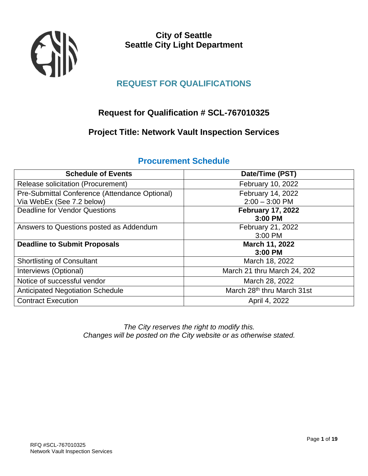

**City of Seattle Seattle City Light Department**

# **REQUEST FOR QUALIFICATIONS**

# **Request for Qualification # SCL-767010325**

# **Project Title: Network Vault Inspection Services**

| <b>Schedule of Events</b>                      | Date/Time (PST)                        |
|------------------------------------------------|----------------------------------------|
| Release solicitation (Procurement)             | February 10, 2022                      |
| Pre-Submittal Conference (Attendance Optional) | February 14, 2022                      |
| Via WebEx (See 7.2 below)                      | $2:00 - 3:00$ PM                       |
| <b>Deadline for Vendor Questions</b>           | <b>February 17, 2022</b>               |
|                                                | 3:00 PM                                |
| Answers to Questions posted as Addendum        | February 21, 2022                      |
|                                                | 3:00 PM                                |
| <b>Deadline to Submit Proposals</b>            | March 11, 2022                         |
|                                                | 3:00 PM                                |
| <b>Shortlisting of Consultant</b>              | March 18, 2022                         |
| Interviews (Optional)                          | March 21 thru March 24, 202            |
| Notice of successful vendor                    | March 28, 2022                         |
| <b>Anticipated Negotiation Schedule</b>        | March 28 <sup>th</sup> thru March 31st |
| <b>Contract Execution</b>                      | April 4, 2022                          |
|                                                |                                        |

# **Procurement Schedule**

<span id="page-0-0"></span>*The City reserves the right to modify this. Changes will be posted on the City website or as otherwise stated.*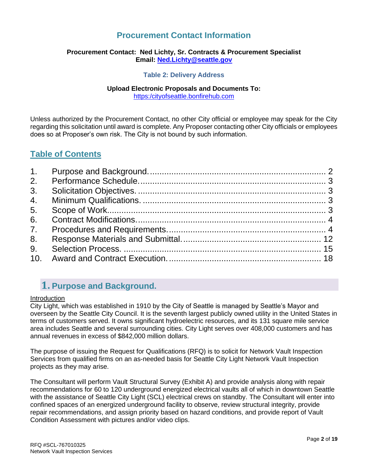# **Procurement Contact Information**

# **Procurement Contact: Ned Lichty, Sr. Contracts & Procurement Specialist Email: [Ned.Lichty@seattle.gov](mailto:Ned.Lichty@seattle.gov)**

### **Table 2: Delivery Address**

# **Upload Electronic Proposals and Documents To:**

[https:/cityofseattle.bonfirehub.com](https://seattlecitylight.bonfirehub.com/)

Unless authorized by the Procurement Contact, no other City official or employee may speak for the City regarding this solicitation until award is complete. Any Proposer contacting other City officials or employees does so at Proposer's own risk. The City is not bound by such information.

# **Table of Contents**

| 3. |  |
|----|--|
|    |  |
| 5. |  |
| 6. |  |
| 7. |  |
| 8. |  |
| 9. |  |
|    |  |
|    |  |

# **1. Purpose and Background.**

### **Introduction**

City Light, which was established in 1910 by the City of Seattle is managed by Seattle's Mayor and overseen by the Seattle City Council. It is the seventh largest publicly owned utility in the United States in terms of customers served. It owns significant hydroelectric resources, and its 131 square mile service area includes Seattle and several surrounding cities. City Light serves over 408,000 customers and has annual revenues in excess of \$842,000 million dollars.

The purpose of issuing the Request for Qualifications (RFQ) is to solicit for Network Vault Inspection Services from qualified firms on an as-needed basis for Seattle City Light Network Vault Inspection projects as they may arise.

The Consultant will perform Vault Structural Survey (Exhibit A) and provide analysis along with repair recommendations for 60 to 120 underground energized electrical vaults all of which in downtown Seattle with the assistance of Seattle City Light (SCL) electrical crews on standby. The Consultant will enter into confined spaces of an energized underground facility to observe, review structural integrity, provide repair recommendations, and assign priority based on hazard conditions, and provide report of Vault Condition Assessment with pictures and/or video clips.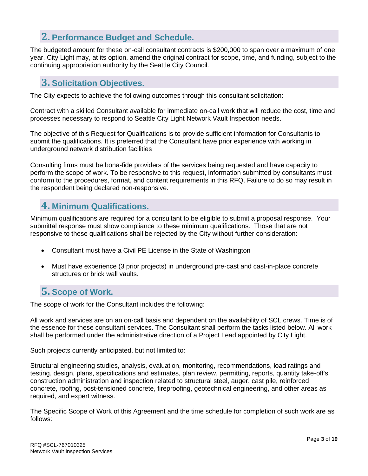# <span id="page-2-0"></span>**2. Performance Budget and Schedule.**

The budgeted amount for these on-call consultant contracts is \$200,000 to span over a maximum of one year. City Light may, at its option, amend the original contract for scope, time, and funding, subject to the continuing appropriation authority by the Seattle City Council.

# <span id="page-2-1"></span>**3. Solicitation Objectives.**

The City expects to achieve the following outcomes through this consultant solicitation:

Contract with a skilled Consultant available for immediate on-call work that will reduce the cost, time and processes necessary to respond to Seattle City Light Network Vault Inspection needs.

The objective of this Request for Qualifications is to provide sufficient information for Consultants to submit the qualifications. It is preferred that the Consultant have prior experience with working in underground network distribution facilities

Consulting firms must be bona-fide providers of the services being requested and have capacity to perform the scope of work. To be responsive to this request, information submitted by consultants must conform to the procedures, format, and content requirements in this RFQ. Failure to do so may result in the respondent being declared non-responsive.

# <span id="page-2-2"></span>**4. Minimum Qualifications.**

Minimum qualifications are required for a consultant to be eligible to submit a proposal response. Your submittal response must show compliance to these minimum qualifications. Those that are not responsive to these qualifications shall be rejected by the City without further consideration:

- Consultant must have a Civil PE License in the State of Washington
- Must have experience (3 prior projects) in underground pre-cast and cast-in-place concrete structures or brick wall vaults.

# <span id="page-2-3"></span>**5. Scope of Work.**

The scope of work for the Consultant includes the following:

All work and services are on an on-call basis and dependent on the availability of SCL crews. Time is of the essence for these consultant services. The Consultant shall perform the tasks listed below. All work shall be performed under the administrative direction of a Project Lead appointed by City Light.

Such projects currently anticipated, but not limited to:

Structural engineering studies, analysis, evaluation, monitoring, recommendations, load ratings and testing, design, plans, specifications and estimates, plan review, permitting, reports, quantity take-off's, construction administration and inspection related to structural steel, auger, cast pile, reinforced concrete, roofing, post-tensioned concrete, fireproofing, geotechnical engineering, and other areas as required, and expert witness.

The Specific Scope of Work of this Agreement and the time schedule for completion of such work are as follows: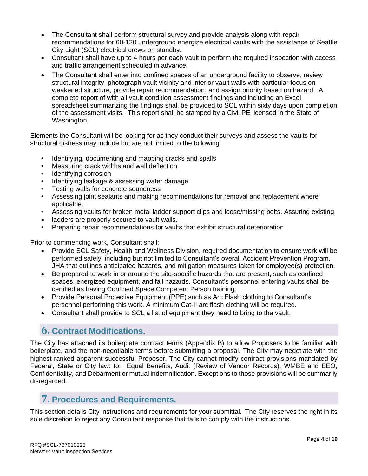- The Consultant shall perform structural survey and provide analysis along with repair recommendations for 60-120 underground energize electrical vaults with the assistance of Seattle City Light (SCL) electrical crews on standby.
- Consultant shall have up to 4 hours per each vault to perform the required inspection with access and traffic arrangement scheduled in advance.
- The Consultant shall enter into confined spaces of an underground facility to observe, review structural integrity, photograph vault vicinity and interior vault walls with particular focus on weakened structure, provide repair recommendation, and assign priority based on hazard. A complete report of with all vault condition assessment findings and including an Excel spreadsheet summarizing the findings shall be provided to SCL within sixty days upon completion of the assessment visits. This report shall be stamped by a Civil PE licensed in the State of Washington.

Elements the Consultant will be looking for as they conduct their surveys and assess the vaults for structural distress may include but are not limited to the following:

- Identifying, documenting and mapping cracks and spalls
- Measuring crack widths and wall deflection
- Identifying corrosion
- Identifying leakage & assessing water damage
- Testing walls for concrete soundness
- Assessing joint sealants and making recommendations for removal and replacement where applicable.
- Assessing vaults for broken metal ladder support clips and loose/missing bolts. Assuring existing
- ladders are properly secured to vault walls.
- Preparing repair recommendations for vaults that exhibit structural deterioration

Prior to commencing work, Consultant shall:

- Provide SCL Safety, Health and Wellness Division, required documentation to ensure work will be performed safely, including but not limited to Consultant's overall Accident Prevention Program, JHA that outlines anticipated hazards, and mitigation measures taken for employee(s) protection.
- Be prepared to work in or around the site-specific hazards that are present, such as confined spaces, energized equipment, and fall hazards. Consultant's personnel entering vaults shall be certified as having Confined Space Competent Person training.
- Provide Personal Protective Equipment (PPE) such as Arc Flash clothing to Consultant's personnel performing this work. A minimum Cat-II arc flash clothing will be required.
- <span id="page-3-0"></span>• Consultant shall provide to SCL a list of equipment they need to bring to the vault.

# **6. Contract Modifications.**

<span id="page-3-1"></span>The City has attached its boilerplate contract terms (Appendix B) to allow Proposers to be familiar with boilerplate, and the non-negotiable terms before submitting a proposal. The City may negotiate with the highest ranked apparent successful Proposer. The City cannot modify contract provisions mandated by Federal, State or City law: to: Equal Benefits, Audit (Review of Vendor Records), WMBE and EEO, Confidentiality, and Debarment or mutual indemnification. Exceptions to those provisions will be summarily disregarded.

# **7. Procedures and Requirements.**

This section details City instructions and requirements for your submittal. The City reserves the right in its sole discretion to reject any Consultant response that fails to comply with the instructions.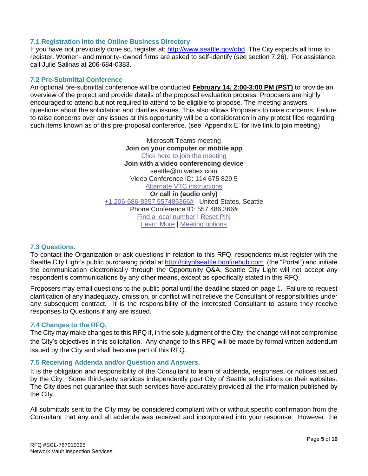# **7.1 Registration into the Online Business Directory**

If you have not previously done so, register at:<http://www.seattle.gov/obd>The City expects all firms to register. Women- and minority- owned firms are asked to self-identify (see section 7.26). For assistance, call Julie Salinas at 206-684-0383.

### **7.2 Pre-Submittal Conference**

An optional pre-submittal conference will be conducted **February 14, 2:00-3:00 PM (PST)** to provide an overview of the project and provide details of the proposal evaluation process. Proposers are highly encouraged to attend but not required to attend to be eligible to propose. The meeting answers questions about the solicitation and clarifies issues. This also allows Proposers to raise concerns. Failure to raise concerns over any issues at this opportunity will be a consideration in any protest filed regarding such items known as of this pre-proposal conference. (see 'Appendix E' for live link to join meeting)

> Microsoft Teams meeting **Join on your computer or mobile app** [Click here to join the meeting](https://teams.microsoft.com/l/meetup-join/19%3ameeting_ZDgxMzk1NGItMmU4My00NTE3LTk2YTYtMWI1MmNiOThhN2Qw%40thread.v2/0?context=%7b%22Tid%22%3a%2278e61e45-6beb-4009-8f99-359d8b54f41b%22%2c%22Oid%22%3a%22dcfc9c4f-10eb-47f5-bd29-98ea4510fcba%22%7d) **Join with a video conferencing device** seattle@m.webex.com Video Conference ID: 114 675 829 5 [Alternate VTC instructions](https://www.webex.com/msteams?confid=1146758295&tenantkey=seattle&domain=m.webex.com) **Or call in (audio only)** [+1 206-686-8357,557486366#](tel:+12066868357,,557486366# ) United States, Seattle Phone Conference ID: 557 486 366# [Find a local number](https://dialin.teams.microsoft.com/f83dfb2b-53ff-4047-97f1-69d51d7a2b36?id=557486366) | [Reset PIN](https://mysettings.lync.com/pstnconferencing) [Learn More](https://aka.ms/JoinTeamsMeeting) | [Meeting options](https://teams.microsoft.com/meetingOptions/?organizerId=dcfc9c4f-10eb-47f5-bd29-98ea4510fcba&tenantId=78e61e45-6beb-4009-8f99-359d8b54f41b&threadId=19_meeting_ZDgxMzk1NGItMmU4My00NTE3LTk2YTYtMWI1MmNiOThhN2Qw@thread.v2&messageId=0&language=en-US)

### **7.3 Questions.**

To contact the Organization or ask questions in relation to this RFQ, respondents must register with the Seattle City Light's public purchasing portal at [http://cityofseattle.bonfirehub.com](http://cityofseattle.bonfirehub.com/) (the "Portal") and initiate the communication electronically through the Opportunity Q&A. Seattle City Light will not accept any respondent's communications by any other means, except as specifically stated in this RFQ.

Proposers may email questions to the public portal until the deadline stated on page 1. Failure to request clarification of any inadequacy, omission, or conflict will not relieve the Consultant of responsibilities under any subsequent contract. It is the responsibility of the interested Consultant to assure they receive responses to Questions if any are issued.

### **7.4 Changes to the RFQ.**

The City may make changes to this RFQ if, in the sole judgment of the City, the change will not compromise the City's objectives in this solicitation. Any change to this RFQ will be made by formal written addendum issued by the City and shall become part of this RFQ.

### **7.5 Receiving Addenda and/or Question and Answers.**

It is the obligation and responsibility of the Consultant to learn of addenda, responses, or notices issued by the City. Some third-party services independently post City of Seattle solicitations on their websites. The City does not guarantee that such services have accurately provided all the information published by the City.

All submittals sent to the City may be considered compliant with or without specific confirmation from the Consultant that any and all addenda was received and incorporated into your response. However, the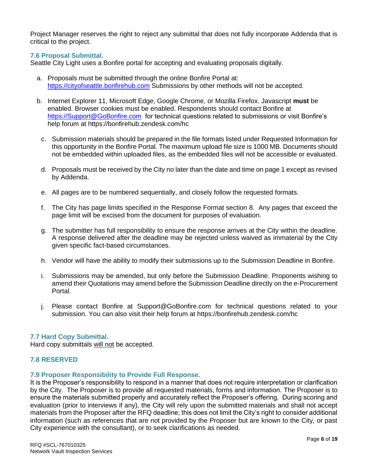Project Manager reserves the right to reject any submittal that does not fully incorporate Addenda that is critical to the project.

# **7.6 Proposal Submittal.**

Seattle City Light uses a Bonfire portal for accepting and evaluating proposals digitally.

- a. Proposals must be submitted through the online Bonfire Portal at: [https://cityofseattle.bonfirehub.com](https://cityofseattle.bonfirehub.com/) Submissions by other methods will not be accepted.
- b. Internet Explorer 11, Microsoft Edge, Google Chrome, or Mozilla Firefox. Javascript **must** be enabled. Browser cookies must be enabled. Respondents should contact Bonfire at <https://Support@GoBonfire.com>for technical questions related to submissions or visit Bonfire's help forum at<https://bonfirehub.zendesk.com/hc>
	- c. Submission materials should be prepared in the file formats listed under Requested Information for this opportunity in the Bonfire Portal. The maximum upload file size is 1000 MB. Documents should not be embedded within uploaded files, as the embedded files will not be accessible or evaluated.
	- d. Proposals must be received by the City no later than the date and time on page 1 except as revised by Addenda.
	- e. All pages are to be numbered sequentially, and closely follow the requested formats.
	- f. The City has page limits specified in the Response Format section 8. Any pages that exceed the page limit will be excised from the document for purposes of evaluation.
	- g. The submitter has full responsibility to ensure the response arrives at the City within the deadline. A response delivered after the deadline may be rejected unless waived as immaterial by the City given specific fact-based circumstances.
	- h. Vendor will have the ability to modify their submissions up to the Submission Deadline in Bonfire.
	- i. Submissions may be amended, but only before the Submission Deadline. Proponents wishing to amend their Quotations may amend before the Submission Deadline directly on the e-Procurement Portal.
- j. Please contact Bonfire at [Support@GoBonfire.com](mailto:support@gobonfire.com) for technical questions related to your submission. You can also visit their help forum at<https://bonfirehub.zendesk.com/hc>

### **7.7 Hard Copy Submittal.**

Hard copy submittals will not be accepted.

### **7.8 RESERVED**

### **7.9 Proposer Responsibility to Provide Full Response.**

It is the Proposer's responsibility to respond in a manner that does not require interpretation or clarification by the City. The Proposer is to provide all requested materials, forms and information. The Proposer is to ensure the materials submitted properly and accurately reflect the Proposer's offering. During scoring and evaluation (prior to interviews if any), the City will rely upon the submitted materials and shall not accept materials from the Proposer after the RFQ deadline; this does not limit the City's right to consider additional information (such as references that are not provided by the Proposer but are known to the City, or past City experience with the consultant), or to seek clarifications as needed.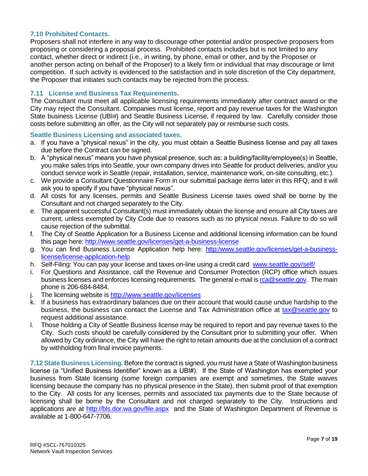## **7.10 Prohibited Contacts.**

Proposers shall not interfere in any way to discourage other potential and/or prospective proposers from proposing or considering a proposal process. Prohibited contacts includes but is not limited to any contact, whether direct or indirect (i.e., in writing, by phone, email or other, and by the Proposer or another person acting on behalf of the Proposer) to a likely firm or individual that may discourage or limit competition. If such activity is evidenced to the satisfaction and in sole discretion of the City department, the Proposer that initiates such contacts may be rejected from the process.

### **7.11 License and Business Tax Requirements.**

The Consultant must meet all applicable licensing requirements immediately after contract award or the City may reject the Consultant. Companies must license, report and pay revenue taxes for the Washington State business License (UBI#) and Seattle Business License, if required by law. Carefully consider those costs before submitting an offer, as the City will not separately pay or reimburse such costs.

#### **Seattle Business Licensing and associated taxes.**

- a. If you have a "physical nexus" in the city, you must obtain a Seattle Business license and pay all taxes due before the Contract can be signed.
- b. A "physical nexus" means you have physical presence, such as: a building/facility/employee(s) in Seattle, you make sales trips into Seattle, your own company drives into Seattle for product deliveries, and/or you conduct service work in Seattle (repair, installation, service, maintenance work, on-site consulting, etc.).
- c. We provide a Consultant Questionnaire Form in our submittal package items later in this RFQ, and it will ask you to specify if you have "physical nexus".
- d. All costs for any licenses, permits and Seattle Business License taxes owed shall be borne by the Consultant and not charged separately to the City.
- e. The apparent successful Consultant(s) must immediately obtain the license and ensure all City taxes are current, unless exempted by City Code due to reasons such as no physical nexus. Failure to do so will cause rejection of the submittal.
- f. The City of Seattle Application for a Business License and additional licensing information can be found this page here:<http://www.seattle.gov/licenses/get-a-business-license>
- g. You can find Business License Application help here: [http:/www.seattle.gov/licenses/get-a-business](http://www.seattle.gov/licenses/get-a-business-license/license-application-help)[license/license-application-help](http://www.seattle.gov/licenses/get-a-business-license/license-application-help)
- h. Self-Filing: You can pay your license and taxes on-line using a credit card [www.seattle.gov/self/](http://www.seattle.gov/self/)
- i. For Questions and Assistance, call the Revenue and Consumer Protection (RCP) office which issues business licenses and enforces licensing requirements. The general e-mail i[s rca@seattle.gov.](mailto:rca@seattle.gov) The main phone is 206-684-8484.
- j. The licensing website is<http://www.seattle.gov/licenses>
- k. If a business has extraordinary balances due on their account that would cause undue hardship to the business, the business can contact the License and Tax Administration office at [tax@seattle.gov](mailto:tax@seattle.gov) to request additional assistance.
- l. Those holding a City of Seattle Business license may be required to report and pay revenue taxes to the City. Such costs should be carefully considered by the Consultant prior to submitting your offer. When allowed by City ordinance, the City will have the right to retain amounts due at the conclusion of a contract by withholding from final invoice payments.

**7.12 State Business Licensing.** Before the contract is signed, you must have a State of Washington business license (a "Unified Business Identifier" known as a UBI#). If the State of Washington has exempted your business from State licensing (some foreign companies are exempt and sometimes, the State waives licensing because the company has no physical presence in the State), then submit proof of that exemption to the City. All costs for any licenses, permits and associated tax payments due to the State because of licensing shall be borne by the Consultant and not charged separately to the City. Instructions and applications are at<http://bls.dor.wa.gov/file.aspx>and the State of Washington Department of Revenue is available at 1-800-647-7706.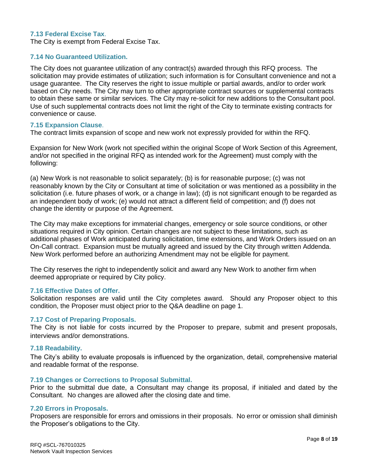### **7.13 Federal Excise Tax**.

The City is exempt from Federal Excise Tax.

#### **7.14 No Guaranteed Utilization.**

The City does not guarantee utilization of any contract(s) awarded through this RFQ process. The solicitation may provide estimates of utilization; such information is for Consultant convenience and not a usage guarantee. The City reserves the right to issue multiple or partial awards, and/or to order work based on City needs. The City may turn to other appropriate contract sources or supplemental contracts to obtain these same or similar services. The City may re-solicit for new additions to the Consultant pool. Use of such supplemental contracts does not limit the right of the City to terminate existing contracts for convenience or cause.

#### **7.15 Expansion Clause**.

The contract limits expansion of scope and new work not expressly provided for within the RFQ.

Expansion for New Work (work not specified within the original Scope of Work Section of this Agreement, and/or not specified in the original RFQ as intended work for the Agreement) must comply with the following:

(a) New Work is not reasonable to solicit separately; (b) is for reasonable purpose; (c) was not reasonably known by the City or Consultant at time of solicitation or was mentioned as a possibility in the solicitation (i.e. future phases of work, or a change in law); (d) is not significant enough to be regarded as an independent body of work; (e) would not attract a different field of competition; and (f) does not change the identity or purpose of the Agreement.

The City may make exceptions for immaterial changes, emergency or sole source conditions, or other situations required in City opinion. Certain changes are not subject to these limitations, such as additional phases of Work anticipated during solicitation, time extensions, and Work Orders issued on an On-Call contract. Expansion must be mutually agreed and issued by the City through written Addenda. New Work performed before an authorizing Amendment may not be eligible for payment.

The City reserves the right to independently solicit and award any New Work to another firm when deemed appropriate or required by City policy.

#### **7.16 Effective Dates of Offer.**

Solicitation responses are valid until the City completes award. Should any Proposer object to this condition, the Proposer must object prior to the Q&A deadline on page 1.

#### **7.17 Cost of Preparing Proposals.**

The City is not liable for costs incurred by the Proposer to prepare, submit and present proposals, interviews and/or demonstrations.

#### **7.18 Readability.**

The City's ability to evaluate proposals is influenced by the organization, detail, comprehensive material and readable format of the response.

#### **7.19 Changes or Corrections to Proposal Submittal.**

Prior to the submittal due date, a Consultant may change its proposal, if initialed and dated by the Consultant. No changes are allowed after the closing date and time.

#### **7.20 Errors in Proposals.**

Proposers are responsible for errors and omissions in their proposals. No error or omission shall diminish the Proposer's obligations to the City.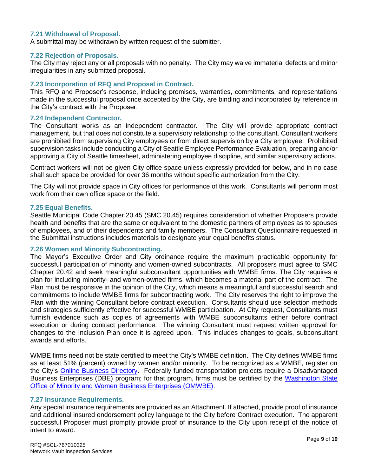### **7.21 Withdrawal of Proposal.**

A submittal may be withdrawn by written request of the submitter.

#### **7.22 Rejection of Proposals.**

The City may reject any or all proposals with no penalty. The City may waive immaterial defects and minor irregularities in any submitted proposal.

#### **7.23 Incorporation of RFQ and Proposal in Contract.**

This RFQ and Proposer's response, including promises, warranties, commitments, and representations made in the successful proposal once accepted by the City, are binding and incorporated by reference in the City's contract with the Proposer.

#### **7.24 Independent Contractor.**

The Consultant works as an independent contractor. The City will provide appropriate contract management, but that does not constitute a supervisory relationship to the consultant. Consultant workers are prohibited from supervising City employees or from direct supervision by a City employee. Prohibited supervision tasks include conducting a City of Seattle Employee Performance Evaluation, preparing and/or approving a City of Seattle timesheet, administering employee discipline, and similar supervisory actions.

Contract workers will not be given City office space unless expressly provided for below, and in no case shall such space be provided for over 36 months without specific authorization from the City.

The City will not provide space in City offices for performance of this work. Consultants will perform most work from their own office space or the field.

#### **7.25 Equal Benefits.**

Seattle Municipal Code Chapter 20.45 (SMC 20.45) requires consideration of whether Proposers provide health and benefits that are the same or equivalent to the domestic partners of employees as to spouses of employees, and of their dependents and family members. The Consultant Questionnaire requested in the Submittal instructions includes materials to designate your equal benefits status.

#### **7.26 Women and Minority Subcontracting.**

The Mayor's Executive Order and City ordinance require the maximum practicable opportunity for successful participation of minority and women-owned subcontracts. All proposers must agree to SMC Chapter 20.42 and seek meaningful subconsultant opportunities with WMBE firms. The City requires a plan for including minority- and women-owned firms, which becomes a material part of the contract. The Plan must be responsive in the opinion of the City, which means a meaningful and successful search and commitments to include WMBE firms for subcontracting work. The City reserves the right to improve the Plan with the winning Consultant before contract execution. Consultants should use selection methods and strategies sufficiently effective for successful WMBE participation. At City request, Consultants must furnish evidence such as copies of agreements with WMBE subconsultants either before contract execution or during contract performance. The winning Consultant must request written approval for changes to the Inclusion Plan once it is agreed upon. This includes changes to goals, subconsultant awards and efforts.

WMBE firms need not be state certified to meet the City's WMBE definition. The City defines WMBE firms as at least 51% (percent) owned by women and/or minority. To be recognized as a WMBE, register on the City's [Online Business Directory.](http://www.seattle.gov/city-purchasing-and-contracting/online-business-directory) Federally funded transportation projects require a Disadvantaged Business Enterprises (DBE) program; for that program, firms must be certified by the [Washington State](http://www.omwbe.wa.gov/certification/certification_dbe.shtml)  [Office of Minority and Women Business Enterprises \(OMWBE\).](http://www.omwbe.wa.gov/certification/certification_dbe.shtml)

#### **7.27 Insurance Requirements.**

Any special insurance requirements are provided as an Attachment. If attached, provide proof of insurance and additional insured endorsement policy language to the City before Contract execution. The apparent successful Proposer must promptly provide proof of insurance to the City upon receipt of the notice of intent to award.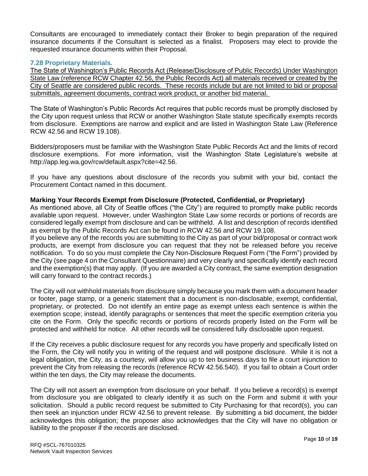Consultants are encouraged to immediately contact their Broker to begin preparation of the required insurance documents if the Consultant is selected as a finalist. Proposers may elect to provide the requested insurance documents within their Proposal.

### **7.28 Proprietary Materials.**

The State of Washington's Public Records Act (Release/Disclosure of Public Records) Under Washington State Law (reference RCW Chapter 42.56, the Public Records Act) all materials received or created by the City of Seattle are considered public records. These records include but are not limited to bid or proposal submittals, agreement documents, contract work product, or another bid material.

The State of Washington's Public Records Act requires that public records must be promptly disclosed by the City upon request unless that RCW or another Washington State statute specifically exempts records from disclosure. Exemptions are narrow and explicit and are listed in Washington State Law (Reference RCW 42.56 and RCW 19.108).

Bidders/proposers must be familiar with the Washington State Public Records Act and the limits of record disclosure exemptions. For more information, visit the Washington State Legislature's website at [http://app.leg.wa.gov/rcw/default.aspx?cite=42.56.](http://app.leg.wa.gov/rcw/default.aspx?cite=42.56)

If you have any questions about disclosure of the records you submit with your bid, contact the Procurement Contact named in this document.

# **Marking Your Records Exempt from Disclosure (Protected, Confidential, or Proprietary)**

As mentioned above, all City of Seattle offices ("the City") are required to promptly make public records available upon request. However, under Washington State Law some records or portions of records are considered legally exempt from disclosure and can be withheld. A list and description of records identified as exempt by the Public Records Act can be found in RCW 42.56 and RCW 19.108.

If you believe any of the records you are submitting to the City as part of your bid/proposal or contract work products, are exempt from disclosure you can request that they not be released before you receive notification. To do so you must complete the City Non-Disclosure Request Form ("the Form") provided by the City (see page 4 on the Consultant Questionnaire) and very clearly and specifically identify each record and the exemption(s) that may apply. (If you are awarded a City contract, the same exemption designation will carry forward to the contract records.)

The City will not withhold materials from disclosure simply because you mark them with a document header or footer, page stamp, or a generic statement that a document is non-disclosable, exempt, confidential, proprietary, or protected. Do not identify an entire page as exempt unless each sentence is within the exemption scope; instead, identify paragraphs or sentences that meet the specific exemption criteria you cite on the Form. Only the specific records or portions of records properly listed on the Form will be protected and withheld for notice. All other records will be considered fully disclosable upon request.

If the City receives a public disclosure request for any records you have properly and specifically listed on the Form, the City will notify you in writing of the request and will postpone disclosure. While it is not a legal obligation, the City, as a courtesy, will allow you up to ten business days to file a court injunction to prevent the City from releasing the records (reference RCW 42.56.540). If you fail to obtain a Court order within the ten days, the City may release the documents.

The City will not assert an exemption from disclosure on your behalf. If you believe a record(s) is exempt from disclosure you are obligated to clearly identify it as such on the Form and submit it with your solicitation. Should a public record request be submitted to City Purchasing for that record(s), you can then seek an injunction under RCW 42.56 to prevent release. By submitting a bid document, the bidder acknowledges this obligation; the proposer also acknowledges that the City will have no obligation or liability to the proposer if the records are disclosed.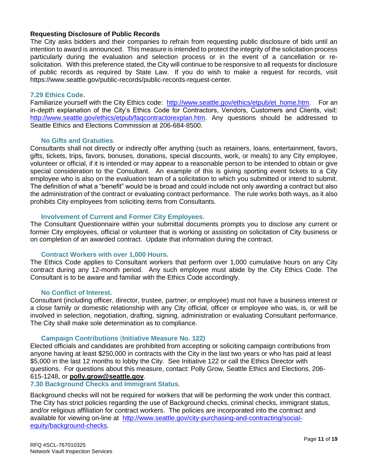# **Requesting Disclosure of Public Records**

The City asks bidders and their companies to refrain from requesting public disclosure of bids until an intention to award is announced. This measure is intended to protect the integrity of the solicitation process particularly during the evaluation and selection process or in the event of a cancellation or resolicitation. With this preference stated, the City will continue to be responsive to all requests for disclosure of public records as required by State Law. If you do wish to make a request for records, visit [https://www.seattle.gov/public-records/public-records-request-center.](https://www.seattle.gov/public-records/public-records-request-center)

### **7.29 Ethics Code.**

Familiarize yourself with the City Ethics code: [http://www.seattle.gov/ethics/etpub/et\\_home.htm.](http://www.seattle.gov/ethics/etpub/et_home.htm) For an in-depth explanation of the City's Ethics Code for Contractors, Vendors, Customers and Clients, visit: [http://www.seattle.gov/ethics/etpub/faqcontractorexplan.htm.](http://www.seattle.gov/ethics/etpub/faqcontractorexplan.htm) Any questions should be addressed to Seattle Ethics and Elections Commission at 206-684-8500.

### **No Gifts and Gratuities**.

Consultants shall not directly or indirectly offer anything (such as retainers, loans, entertainment, favors, gifts, tickets, trips, favors, bonuses, donations, special discounts, work, or meals) to any City employee, volunteer or official, if it is intended or may appear to a reasonable person to be intended to obtain or give special consideration to the Consultant. An example of this is giving sporting event tickets to a City employee who is also on the evaluation team of a solicitation to which you submitted or intend to submit. The definition of what a "benefit" would be is broad and could include not only awarding a contract but also the administration of the contract or evaluating contract performance. The rule works both ways, as it also prohibits City employees from soliciting items from Consultants.

### **Involvement of Current and Former City Employees.**

The Consultant Questionnaire within your submittal documents prompts you to disclose any current or former City employees, official or volunteer that is working or assisting on solicitation of City business or on completion of an awarded contract. Update that information during the contract.

### **Contract Workers with over 1,000 Hours.**

The Ethics Code applies to Consultant workers that perform over 1,000 cumulative hours on any City contract during any 12-month period. Any such employee must abide by the City Ethics Code. The Consultant is to be aware and familiar with the Ethics Code accordingly.

### **No Conflict of Interest.**

Consultant (including officer, director, trustee, partner, or employee) must not have a business interest or a close family or domestic relationship with any City official, officer or employee who was, is, or will be involved in selection, negotiation, drafting, signing, administration or evaluating Consultant performance. The City shall make sole determination as to compliance.

### **Campaign Contributions** (**Initiative Measure No. 122)**

Elected officials and candidates are prohibited from accepting or soliciting campaign contributions from anyone having at least \$250,000 in contracts with the City in the last two years or who has paid at least \$5,000 in the last 12 months to lobby the City. See Initiative 122 or call the Ethics Director with questions.For questions about this measure, contact: Polly Grow, Seattle Ethics and Elections, 206- 615-1248, or **[polly.grow@seattle.gov](mailto:polly.grow@seattle.gov)**.

# **7.30 Background Checks and Immigrant Status.**

Background checks will not be required for workers that will be performing the work under this contract. The City has strict policies regarding the use of Background checks, criminal checks, immigrant status, and/or religious affiliation for contract workers. The policies are incorporated into the contract and available for viewing on-line at [http://www.seattle.gov/city-purchasing-and-contracting/social](http://www.seattle.gov/city-purchasing-and-contracting/social-equity/background-checks)[equity/background-checks.](http://www.seattle.gov/city-purchasing-and-contracting/social-equity/background-checks)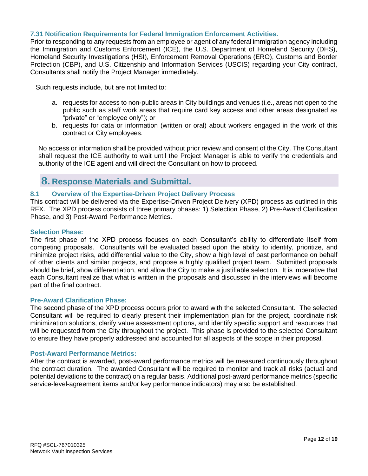### **7.31 Notification Requirements for Federal Immigration Enforcement Activities.**

Prior to responding to any requests from an employee or agent of any federal immigration agency including the Immigration and Customs Enforcement (ICE), the U.S. Department of Homeland Security (DHS), Homeland Security Investigations (HSI), Enforcement Removal Operations (ERO), Customs and Border Protection (CBP), and U.S. Citizenship and Information Services (USCIS) regarding your City contract, Consultants shall notify the Project Manager immediately.

Such requests include, but are not limited to:

- a. requests for access to non-public areas in City buildings and venues (i.e., areas not open to the public such as staff work areas that require card key access and other areas designated as "private" or "employee only"); or
- b. requests for data or information (written or oral) about workers engaged in the work of this contract or City employees.

No access or information shall be provided without prior review and consent of the City. The Consultant shall request the ICE authority to wait until the Project Manager is able to verify the credentials and authority of the ICE agent and will direct the Consultant on how to proceed.

# <span id="page-11-0"></span>**8. Response Materials and Submittal.**

# **8.1 Overview of the Expertise-Driven Project Delivery Process**

This contract will be delivered via the Expertise-Driven Project Delivery (XPD) process as outlined in this RFX. The XPD process consists of three primary phases: 1) Selection Phase, 2) Pre-Award Clarification Phase, and 3) Post-Award Performance Metrics.

### **Selection Phase:**

The first phase of the XPD process focuses on each Consultant's ability to differentiate itself from competing proposals. Consultants will be evaluated based upon the ability to identify, prioritize, and minimize project risks, add differential value to the City, show a high level of past performance on behalf of other clients and similar projects, and propose a highly qualified project team. Submitted proposals should be brief, show differentiation, and allow the City to make a justifiable selection. It is imperative that each Consultant realize that what is written in the proposals and discussed in the interviews will become part of the final contract.

### **Pre-Award Clarification Phase:**

The second phase of the XPD process occurs prior to award with the selected Consultant. The selected Consultant will be required to clearly present their implementation plan for the project, coordinate risk minimization solutions, clarify value assessment options, and identify specific support and resources that will be requested from the City throughout the project. This phase is provided to the selected Consultant to ensure they have properly addressed and accounted for all aspects of the scope in their proposal.

### **Post-Award Performance Metrics:**

After the contract is awarded, post-award performance metrics will be measured continuously throughout the contract duration. The awarded Consultant will be required to monitor and track all risks (actual and potential deviations to the contract) on a regular basis. Additional post-award performance metrics (specific service-level-agreement items and/or key performance indicators) may also be established.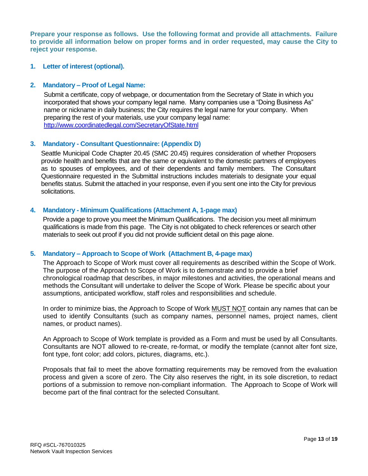**Prepare your response as follows. Use the following format and provide all attachments. Failure to provide all information below on proper forms and in order requested, may cause the City to reject your response.**

### **1. Letter of interest (optional).**

### **2. Mandatory – Proof of Legal Name:**

Submit a certificate, copy of webpage, or documentation from the Secretary of State in which you incorporated that shows your company legal name. Many companies use a "Doing Business As" name or nickname in daily business; the City requires the legal name for your company. When preparing the rest of your materials, use your company legal name: <http://www.coordinatedlegal.com/SecretaryOfState.html>

# **3. Mandatory - Consultant Questionnaire: (Appendix D)**

Seattle Municipal Code Chapter 20.45 (SMC 20.45) requires consideration of whether Proposers provide health and benefits that are the same or equivalent to the domestic partners of employees as to spouses of employees, and of their dependents and family members. The Consultant Questionnaire requested in the Submittal instructions includes materials to designate your equal benefits status. Submit the attached in your response, even if you sent one into the City for previous solicitations.

### **4. Mandatory - Minimum Qualifications (Attachment A, 1-page max)**

Provide a page to prove you meet the Minimum Qualifications. The decision you meet all minimum qualifications is made from this page. The City is not obligated to check references or search other materials to seek out proof if you did not provide sufficient detail on this page alone.

### **5. Mandatory – Approach to Scope of Work (Attachment B, 4-page max)**

The Approach to Scope of Work must cover all requirements as described within the Scope of Work. The purpose of the Approach to Scope of Work is to demonstrate and to provide a brief chronological roadmap that describes, in major milestones and activities, the operational means and methods the Consultant will undertake to deliver the Scope of Work. Please be specific about your assumptions, anticipated workflow, staff roles and responsibilities and schedule.

In order to minimize bias, the Approach to Scope of Work MUST NOT contain any names that can be used to identify Consultants (such as company names, personnel names, project names, client names, or product names).

An Approach to Scope of Work template is provided as a Form and must be used by all Consultants. Consultants are NOT allowed to re-create, re-format, or modify the template (cannot alter font size, font type, font color; add colors, pictures, diagrams, etc.).

Proposals that fail to meet the above formatting requirements may be removed from the evaluation process and given a score of zero. The City also reserves the right, in its sole discretion, to redact portions of a submission to remove non-compliant information. The Approach to Scope of Work will become part of the final contract for the selected Consultant.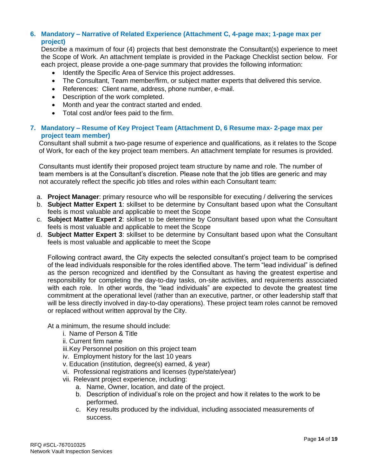# **6. Mandatory – Narrative of Related Experience (Attachment C, 4-page max; 1-page max per project)**

Describe a maximum of four (4) projects that best demonstrate the Consultant(s) experience to meet the Scope of Work. An attachment template is provided in the Package Checklist section below. For each project, please provide a one-page summary that provides the following information:

- Identify the Specific Area of Service this project addresses.
- The Consultant, Team member/firm, or subject matter experts that delivered this service.
- References: Client name, address, phone number, e-mail.
- Description of the work completed.
- Month and year the contract started and ended.
- Total cost and/or fees paid to the firm.

# **7. Mandatory – Resume of Key Project Team (Attachment D, 6 Resume max- 2-page max per project team member)**

Consultant shall submit a two-page resume of experience and qualifications, as it relates to the Scope of Work, for each of the key project team members. An attachment template for resumes is provided.

Consultants must identify their proposed project team structure by name and role. The number of team members is at the Consultant's discretion. Please note that the job titles are generic and may not accurately reflect the specific job titles and roles within each Consultant team:

- a. **Project Manager**: primary resource who will be responsible for executing / delivering the services
- b. **Subject Matter Expert 1**: skillset to be determine by Consultant based upon what the Consultant feels is most valuable and applicable to meet the Scope
- c. **Subject Matter Expert 2**: skillset to be determine by Consultant based upon what the Consultant feels is most valuable and applicable to meet the Scope
- d. **Subject Matter Expert 3**: skillset to be determine by Consultant based upon what the Consultant feels is most valuable and applicable to meet the Scope

Following contract award, the City expects the selected consultant's project team to be comprised of the lead individuals responsible for the roles identified above. The term "lead individual" is defined as the person recognized and identified by the Consultant as having the greatest expertise and responsibility for completing the day-to-day tasks, on-site activities, and requirements associated with each role. In other words, the "lead individuals" are expected to devote the greatest time commitment at the operational level (rather than an executive, partner, or other leadership staff that will be less directly involved in day-to-day operations). These project team roles cannot be removed or replaced without written approval by the City.

At a minimum, the resume should include:

- i. Name of Person & Title
- ii. Current firm name
- iii.Key Personnel position on this project team
- iv. Employment history for the last 10 years
- v. Education (institution, degree(s) earned, & year)
- vi. Professional registrations and licenses (type/state/year)
- vii. Relevant project experience, including:
	- a. Name, Owner, location, and date of the project.
	- b. Description of individual's role on the project and how it relates to the work to be performed.
	- c. Key results produced by the individual, including associated measurements of success.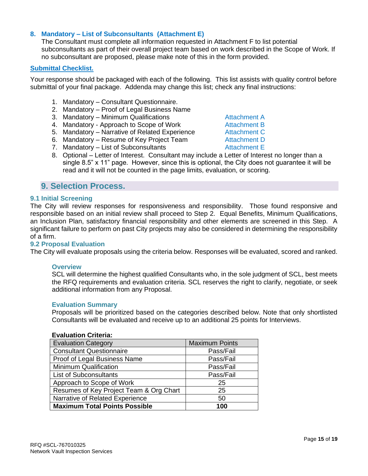# **8. Mandatory – List of Subconsultants (Attachment E)**

The Consultant must complete all information requested in Attachment F to list potential subconsultants as part of their overall project team based on work described in the Scope of Work. If no subconsultant are proposed, please make note of this in the form provided.

#### **Submittal Checklist.**

Your response should be packaged with each of the following. This list assists with quality control before submittal of your final package. Addenda may change this list; check any final instructions:

- 1. Mandatory Consultant Questionnaire.
- 2. Mandatory Proof of Legal Business Name
- 3. Mandatory Minimum Qualifications **Attachment A**
- 4. Mandatory Approach to Scope of Work **Attachment B**
- 5. Mandatory Narrative of Related Experience Attachment C
- 6. Mandatory Resume of Key Project Team Attachment D
- 7. Mandatory List of Subconsultants The Mandatory Attachment E
- 8. Optional Letter of Interest. Consultant may include a Letter of Interest no longer than a single 8.5" x 11" page. However, since this is optional, the City does not guarantee it will be read and it will not be counted in the page limits, evaluation, or scoring.

# <span id="page-14-0"></span>**9. Selection Process.**

### **9.1 Initial Screening**

The City will review responses for responsiveness and responsibility. Those found responsive and responsible based on an initial review shall proceed to Step 2. Equal Benefits, Minimum Qualifications, an Inclusion Plan, satisfactory financial responsibility and other elements are screened in this Step. A significant failure to perform on past City projects may also be considered in determining the responsibility of a firm.

#### **9.2 Proposal Evaluation**

The City will evaluate proposals using the criteria below. Responses will be evaluated, scored and ranked.

#### **Overview**

SCL will determine the highest qualified Consultants who, in the sole judgment of SCL, best meets the RFQ requirements and evaluation criteria. SCL reserves the right to clarify, negotiate, or seek additional information from any Proposal.

#### **Evaluation Summary**

Proposals will be prioritized based on the categories described below. Note that only shortlisted Consultants will be evaluated and receive up to an additional 25 points for Interviews.

### **Evaluation Criteria:**

| <b>Evaluation Category</b>              | <b>Maximum Points</b> |
|-----------------------------------------|-----------------------|
| <b>Consultant Questionnaire</b>         | Pass/Fail             |
| Proof of Legal Business Name            | Pass/Fail             |
| <b>Minimum Qualification</b>            | Pass/Fail             |
| <b>List of Subconsultants</b>           | Pass/Fail             |
| Approach to Scope of Work               | 25                    |
| Resumes of Key Project Team & Org Chart | 25                    |
| Narrative of Related Experience         | 50                    |
| <b>Maximum Total Points Possible</b>    | 100                   |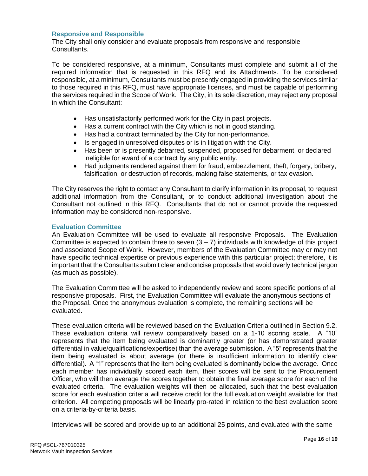# **Responsive and Responsible**

The City shall only consider and evaluate proposals from responsive and responsible Consultants.

To be considered responsive, at a minimum, Consultants must complete and submit all of the required information that is requested in this RFQ and its Attachments. To be considered responsible, at a minimum, Consultants must be presently engaged in providing the services similar to those required in this RFQ, must have appropriate licenses, and must be capable of performing the services required in the Scope of Work. The City, in its sole discretion, may reject any proposal in which the Consultant:

- Has unsatisfactorily performed work for the City in past projects.
- Has a current contract with the City which is not in good standing.
- Has had a contract terminated by the City for non-performance.
- Is engaged in unresolved disputes or is in litigation with the City.
- Has been or is presently debarred, suspended, proposed for debarment, or declared ineligible for award of a contract by any public entity.
- Had judgments rendered against them for fraud, embezzlement, theft, forgery, bribery, falsification, or destruction of records, making false statements, or tax evasion.

The City reserves the right to contact any Consultant to clarify information in its proposal, to request additional information from the Consultant, or to conduct additional investigation about the Consultant not outlined in this RFQ. Consultants that do not or cannot provide the requested information may be considered non-responsive.

# **Evaluation Committee**

An Evaluation Committee will be used to evaluate all responsive Proposals. The Evaluation Committee is expected to contain three to seven  $(3 - 7)$  individuals with knowledge of this project and associated Scope of Work. However, members of the Evaluation Committee may or may not have specific technical expertise or previous experience with this particular project; therefore, it is important that the Consultants submit clear and concise proposals that avoid overly technical jargon (as much as possible).

The Evaluation Committee will be asked to independently review and score specific portions of all responsive proposals. First, the Evaluation Committee will evaluate the anonymous sections of the Proposal. Once the anonymous evaluation is complete, the remaining sections will be evaluated.

These evaluation criteria will be reviewed based on the Evaluation Criteria outlined in Section 9.2. These evaluation criteria will review comparatively based on a 1-10 scoring scale. A "10" represents that the item being evaluated is dominantly greater (or has demonstrated greater differential in value/qualifications/expertise) than the average submission. A "5" represents that the item being evaluated is about average (or there is insufficient information to identify clear differential). A "1" represents that the item being evaluated is dominantly below the average. Once each member has individually scored each item, their scores will be sent to the Procurement Officer, who will then average the scores together to obtain the final average score for each of the evaluated criteria. The evaluation weights will then be allocated, such that the best evaluation score for each evaluation criteria will receive credit for the full evaluation weight available for that criterion. All competing proposals will be linearly pro-rated in relation to the best evaluation score on a criteria-by-criteria basis.

Interviews will be scored and provide up to an additional 25 points, and evaluated with the same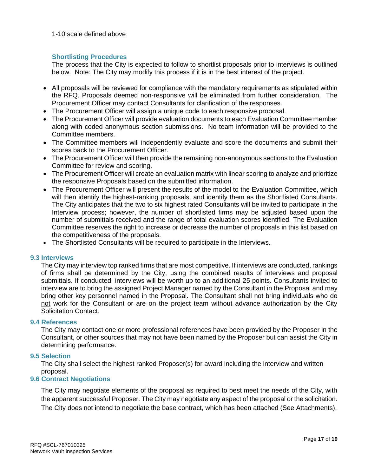#### 1-10 scale defined above

### **Shortlisting Procedures**

The process that the City is expected to follow to shortlist proposals prior to interviews is outlined below. Note: The City may modify this process if it is in the best interest of the project.

- All proposals will be reviewed for compliance with the mandatory requirements as stipulated within the RFQ. Proposals deemed non-responsive will be eliminated from further consideration. The Procurement Officer may contact Consultants for clarification of the responses.
- The Procurement Officer will assign a unique code to each responsive proposal.
- The Procurement Officer will provide evaluation documents to each Evaluation Committee member along with coded anonymous section submissions. No team information will be provided to the Committee members.
- The Committee members will independently evaluate and score the documents and submit their scores back to the Procurement Officer.
- The Procurement Officer will then provide the remaining non-anonymous sections to the Evaluation Committee for review and scoring.
- The Procurement Officer will create an evaluation matrix with linear scoring to analyze and prioritize the responsive Proposals based on the submitted information.
- The Procurement Officer will present the results of the model to the Evaluation Committee, which will then identify the highest-ranking proposals, and identify them as the Shortlisted Consultants. The City anticipates that the two to six highest rated Consultants will be invited to participate in the Interview process; however, the number of shortlisted firms may be adjusted based upon the number of submittals received and the range of total evaluation scores identified. The Evaluation Committee reserves the right to increase or decrease the number of proposals in this list based on the competitiveness of the proposals.
- The Shortlisted Consultants will be required to participate in the Interviews.

### **9.3 Interviews**

The City may interview top ranked firms that are most competitive. If interviews are conducted, rankings of firms shall be determined by the City, using the combined results of interviews and proposal submittals. If conducted, interviews will be worth up to an additional 25 points. Consultants invited to interview are to bring the assigned Project Manager named by the Consultant in the Proposal and may bring other key personnel named in the Proposal. The Consultant shall not bring individuals who do not work for the Consultant or are on the project team without advance authorization by the City Solicitation Contact.

### **9.4 References**

The City may contact one or more professional references have been provided by the Proposer in the Consultant, or other sources that may not have been named by the Proposer but can assist the City in determining performance.

### **9.5 Selection**

The City shall select the highest ranked Proposer(s) for award including the interview and written proposal.

### **9.6 Contract Negotiations**

The City may negotiate elements of the proposal as required to best meet the needs of the City, with the apparent successful Proposer. The City may negotiate any aspect of the proposal or the solicitation. The City does not intend to negotiate the base contract, which has been attached (See Attachments).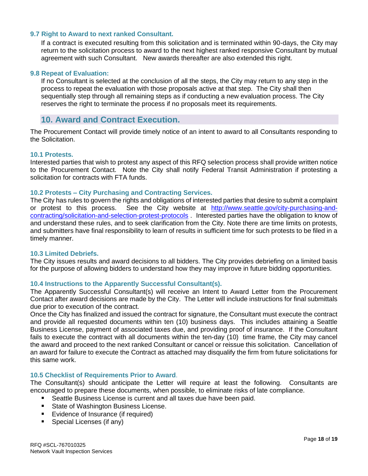### **9.7 Right to Award to next ranked Consultant.**

If a contract is executed resulting from this solicitation and is terminated within 90-days, the City may return to the solicitation process to award to the next highest ranked responsive Consultant by mutual agreement with such Consultant. New awards thereafter are also extended this right.

#### **9.8 Repeat of Evaluation:**

If no Consultant is selected at the conclusion of all the steps, the City may return to any step in the process to repeat the evaluation with those proposals active at that step. The City shall then sequentially step through all remaining steps as if conducting a new evaluation process. The City reserves the right to terminate the process if no proposals meet its requirements.

# <span id="page-17-0"></span>**10. Award and Contract Execution.**

The Procurement Contact will provide timely notice of an intent to award to all Consultants responding to the Solicitation.

#### **10.1 Protests.**

Interested parties that wish to protest any aspect of this RFQ selection process shall provide written notice to the Procurement Contact. Note the City shall notify Federal Transit Administration if protesting a solicitation for contracts with FTA funds.

#### **10.2 Protests – City Purchasing and Contracting Services.**

The City has rules to govern the rights and obligations of interested parties that desire to submit a complaint or protest to this process. See the City website at [http://www.seattle.gov/city-purchasing-and](http://www.seattle.gov/city-purchasing-and-contracting/solicitation-and-selection-protest-protocols)[contracting/solicitation-and-selection-protest-protocols](http://www.seattle.gov/city-purchasing-and-contracting/solicitation-and-selection-protest-protocols) . Interested parties have the obligation to know of and understand these rules, and to seek clarification from the City. Note there are time limits on protests, and submitters have final responsibility to learn of results in sufficient time for such protests to be filed in a timely manner.

#### **10.3 Limited Debriefs.**

The City issues results and award decisions to all bidders. The City provides debriefing on a limited basis for the purpose of allowing bidders to understand how they may improve in future bidding opportunities.

#### **10.4 Instructions to the Apparently Successful Consultant(s).**

The Apparently Successful Consultant(s) will receive an Intent to Award Letter from the Procurement Contact after award decisions are made by the City. The Letter will include instructions for final submittals due prior to execution of the contract.

Once the City has finalized and issued the contract for signature, the Consultant must execute the contract and provide all requested documents within ten (10) business days. This includes attaining a Seattle Business License, payment of associated taxes due, and providing proof of insurance. If the Consultant fails to execute the contract with all documents within the ten-day (10) time frame, the City may cancel the award and proceed to the next ranked Consultant or cancel or reissue this solicitation. Cancellation of an award for failure to execute the Contract as attached may disqualify the firm from future solicitations for this same work.

#### **10.5 Checklist of Requirements Prior to Award**.

The Consultant(s) should anticipate the Letter will require at least the following. Consultants are encouraged to prepare these documents, when possible, to eliminate risks of late compliance.

- Seattle Business License is current and all taxes due have been paid.
- State of Washington Business License.
- Evidence of Insurance (if required)
- Special Licenses (if any)